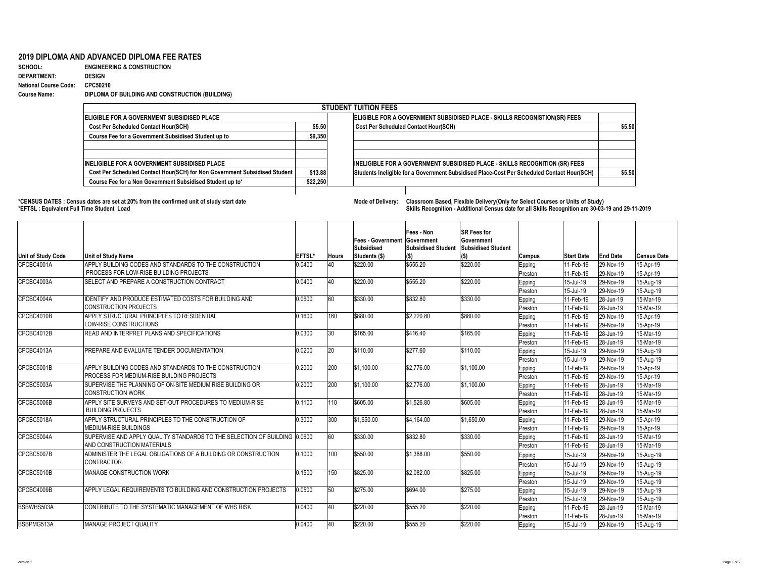## **2019 DIPLOMA AND ADVANCED DIPLOMA FEE RATES**

| <b>SCHOOL:</b>               | <b>ENGINEERING &amp; CONSTRUCTION</b>           |
|------------------------------|-------------------------------------------------|
| <b>DEPARTMENT:</b>           | <b>DESIGN</b>                                   |
| <b>National Course Code:</b> | CPC50210                                        |
| <b>Course Name:</b>          | DIPLOMA OF BUILDING AND CONSTRUCTION (BUILDING) |

## **\*EFTSL : Equivalent Full Time Student Load Skills Recognition - Additional Census date for all Skills Recognition are 30-03-19 and 29-11-2019**

|                                                                            |          | <b>STUDENT TUITION FEES</b>                                                                |        |  |  |  |  |
|----------------------------------------------------------------------------|----------|--------------------------------------------------------------------------------------------|--------|--|--|--|--|
| ELIGIBLE FOR A GOVERNMENT SUBSIDISED PLACE                                 |          | ELIGIBLE FOR A GOVERNMENT SUBSIDISED PLACE - SKILLS RECOGNISTION(SR) FEES                  |        |  |  |  |  |
| <b>Cost Per Scheduled Contact Hour(SCH)</b>                                | \$5.50   | <b>Cost Per Scheduled Contact Hour(SCH)</b>                                                | \$5.50 |  |  |  |  |
| <b>Course Fee for a Government Subsidised Student up to</b>                | \$9,350  |                                                                                            |        |  |  |  |  |
| <b>INELIGIBLE FOR A GOVERNMENT SUBSIDISED PLACE</b>                        |          | <b>INELIGIBLE FOR A GOVERNMENT SUBSIDISED PLACE - SKILLS RECOGNITION (SR) FEES</b>         |        |  |  |  |  |
| Cost Per Scheduled Contact Hour(SCH) for Non Government Subsidised Student | \$13.88  | Students Ineligible for a Government Subsidised Place-Cost Per Scheduled Contact Hour(SCH) | \$5.50 |  |  |  |  |
| Course Fee for a Non Government Subsidised Student up to*                  | \$22,250 |                                                                                            |        |  |  |  |  |

| <b>Unit of Study Code</b> | Unit of Study Name                                                         | <b>EFTSL*</b> | <b>Hours</b> | <b>Fees - Government   Government</b><br><b>Subsidised</b><br>Students (\$) | Fees - Non<br><b>Subsidised Student</b><br>$\mathsf{I}(\$)$ | <b>ISR Fees for</b><br><b>Government</b><br><b>Subsidised Student</b><br>$(\$)$ | <b>Campus</b> | <b>Start Date</b> | <b>End Date</b>   | <b>Census Date</b> |
|---------------------------|----------------------------------------------------------------------------|---------------|--------------|-----------------------------------------------------------------------------|-------------------------------------------------------------|---------------------------------------------------------------------------------|---------------|-------------------|-------------------|--------------------|
| ICPCBC4001A               | APPLY BUILDING CODES AND STANDARDS TO THE CONSTRUCTION                     | 0.0400        | 40           | \$220.00                                                                    | \$555.20                                                    | \$220.00                                                                        | Epping        | 11-Feb-19         | 29-Nov-19         | 15-Apr-19          |
|                           | PROCESS FOR LOW-RISE BUILDING PROJECTS                                     |               |              |                                                                             |                                                             |                                                                                 | Preston       | 11-Feb-19         | 29-Nov-19         | 15-Apr-19          |
| CPCBC4003A                | <b>ISELECT AND PREPARE A CONSTRUCTION CONTRACT</b>                         | 0.0400        | 40           | \$220.00                                                                    | \$555.20                                                    | \$220.00                                                                        | <b>Epping</b> | 15-Jul-19         | <b>29-Nov-19</b>  | 15-Aug-19          |
|                           |                                                                            |               |              |                                                                             |                                                             |                                                                                 | Preston       | 15-Jul-19         | 29-Nov-19         | 15-Aug-19          |
| CPCBC4004A                | IDENTIFY AND PRODUCE ESTIMATED COSTS FOR BUILDING AND                      | 0.0600        | 60           | \$330.00                                                                    | \$832.80                                                    | \$330.00                                                                        | Epping        | 11-Feb-19         | $ 28 - Jun - 19 $ | 15-Mar-19          |
|                           | <b>CONSTRUCTION PROJECTS</b>                                               |               |              |                                                                             |                                                             |                                                                                 | Preston       | 11-Feb-19         | 28-Jun-19         | 15-Mar-19          |
| CPCBC4010B                | <b>APPLY STRUCTURAL PRINCIPLES TO RESIDENTIAL</b>                          | 0.1600        | 160          | \$880.00                                                                    | \$2,220.80                                                  | \$880.00                                                                        | Epping        | 11-Feb-19         | 29-Nov-19         | 15-Apr-19          |
|                           | LOW-RISE CONSTRUCTIONS                                                     |               |              |                                                                             |                                                             |                                                                                 | Preston       | 11-Feb-19         | $ 29-Nov-19 $     | 15-Apr-19          |
| CPCBC4012B                | <b>READ AND INTERPRET PLANS AND SPECIFICATIONS</b>                         | 0.0300        | $ 30\rangle$ | \$165.00                                                                    | \$416.40                                                    | \$165.00                                                                        | Epping        | 11-Feb-19         | $ 28 - Jun - 19 $ | 15-Mar-19          |
|                           |                                                                            |               |              |                                                                             |                                                             |                                                                                 | Preston       | 11-Feb-19         | $ 28 - Jun - 19 $ | 15-Mar-19          |
| CPCBC4013A                | <b>PREPARE AND EVALUATE TENDER DOCUMENTATION</b>                           | 0.0200        | $ 20\rangle$ | \$110.00                                                                    | \$277.60                                                    | \$110.00                                                                        | Epping        | 15-Jul-19         | 29-Nov-19         | 15-Aug-19          |
|                           |                                                                            |               |              |                                                                             |                                                             |                                                                                 | Preston       | 15-Jul-19         | 29-Nov-19         | 15-Aug-19          |
| CPCBC5001B                | APPLY BUILDING CODES AND STANDARDS TO THE CONSTRUCTION                     | 0.2000        | 200          | \$1,100.00                                                                  | \$2,776.00                                                  | \$1,100.00                                                                      | Epping        | 11-Feb-19         | 29-Nov-19         | 15-Apr-19          |
|                           | PROCESS FOR MEDIUM-RISE BUILDING PROJECTS                                  |               |              |                                                                             |                                                             |                                                                                 | Preston       | 11-Feb-19         | $ 29-Nov-19 $     | 15-Apr-19          |
| CPCBC5003A                | SUPERVISE THE PLANNING OF ON-SITE MEDIUM RISE BUILDING OR                  | 0.2000        | 200          | \$1,100.00                                                                  | \$2,776.00                                                  | \$1,100.00                                                                      | Epping        | 11-Feb-19         | $ 28 - Jun - 19 $ | 15-Mar-19          |
|                           | <b>CONSTRUCTION WORK</b>                                                   |               |              |                                                                             |                                                             |                                                                                 | Preston       | 11-Feb-19         | $ 28 - Jun - 19 $ | 15-Mar-19          |
| CPCBC5006B                | APPLY SITE SURVEYS AND SET-OUT PROCEDURES TO MEDIUM-RISE                   | 0.1100        | 110          | \$605.00                                                                    | \$1,526.80                                                  | \$605.00                                                                        | Epping        | 11-Feb-19         | $ 28 - Jun - 19 $ | 15-Mar-19          |
|                           | <b>BUILDING PROJECTS</b>                                                   |               |              |                                                                             |                                                             |                                                                                 | Preston       | 11-Feb-19         | 28-Jun-19         | 15-Mar-19          |
| CPCBC5018A                | APPLY STRUCTURAL PRINCIPLES TO THE CONSTRUCTION OF                         | 0.3000        | 300          | \$1,650.00                                                                  | $\frac{1}{9}4,164.00$                                       | \$1,650.00                                                                      | Epping        | 11-Feb-19         | 29-Nov-19         | 15-Apr-19          |
|                           | <b>IMEDIUM-RISE BUILDINGS</b>                                              |               |              |                                                                             |                                                             |                                                                                 | Preston       | 11-Feb-19         | 29-Nov-19         | 15-Apr-19          |
| CPCBC5004A                | SUPERVISE AND APPLY QUALITY STANDARDS TO THE SELECTION OF BUILDING 10.0600 |               | 60           | \$330.00                                                                    | \$832.80                                                    | \$330.00                                                                        | Epping        | 11-Feb-19         | 28-Jun-19         | 15-Mar-19          |
|                           | AND CONSTRUCTION MATERIALS                                                 |               |              |                                                                             |                                                             |                                                                                 | Preston       | 11-Feb-19         | 28-Jun-19         | 15-Mar-19          |
| CPCBC5007B                | ADMINISTER THE LEGAL OBLIGATIONS OF A BUILDING OR CONSTRUCTION             | 0.1000        | 100          | \$550.00                                                                    | \$1,388.00                                                  | \$550.00                                                                        | Epping        | 15-Jul-19         | 29-Nov-19         | 15-Aug-19          |
|                           | <b>CONTRACTOR</b>                                                          |               |              |                                                                             |                                                             |                                                                                 | Preston       | 15-Jul-19         | 29-Nov-19         | 15-Aug-19          |
| CPCBC5010B                | <b>IMANAGE CONSTRUCTION WORK</b>                                           | 0.1500        | 150          | \$825.00                                                                    | \$2,082.00                                                  | \$825.00                                                                        | Epping        | 15-Jul-19         | 29-Nov-19         | 15-Aug-19          |
|                           |                                                                            |               |              |                                                                             |                                                             |                                                                                 | Preston       | 15-Jul-19         | 29-Nov-19         | 15-Aug-19          |
| CPCBC4009B                | APPLY LEGAL REQUIREMENTS TO BUILDING AND CONSTRUCTION PROJECTS             | 0.0500        | 50           | \$275.00                                                                    | \$694.00                                                    | \$275.00                                                                        | Epping        | 15-Jul-19         | 29-Nov-19         | 15-Aug-19          |
|                           |                                                                            |               |              |                                                                             |                                                             |                                                                                 | Preston       | 15-Jul-19         | 29-Nov-19         | 15-Aug-19          |
| <b>BSBWHS503A</b>         | CONTRIBUTE TO THE SYSTEMATIC MANAGEMENT OF WHS RISK                        | 0.0400        | <b>40</b>    | \$220.00                                                                    | \$555.20                                                    | \$220.00                                                                        | Epping        | 11-Feb-19         | $ 28 - Jun - 19 $ | 15-Mar-19          |
|                           |                                                                            |               |              |                                                                             |                                                             |                                                                                 | Preston       | 11-Feb-19         | $ 28 - Jun - 19 $ | 15-Mar-19          |
| <b>BSBPMG513A</b>         | <b>IMANAGE PROJECT QUALITY</b>                                             | 0.0400        | 40           | \$220.00                                                                    | \$555.20                                                    | \$220.00                                                                        | Epping        | 15-Jul-19         | $ 29-Nov-19 $     | 15-Aug-19          |

**Mode of Delivery:** Classroom Based, Flexible Delivery(Only for Select Courses or Units of Study)

| Skills Recognition - Additional Census date for all Skills Recognition are 30-03-19 and 29-11-2 |
|-------------------------------------------------------------------------------------------------|
|-------------------------------------------------------------------------------------------------|